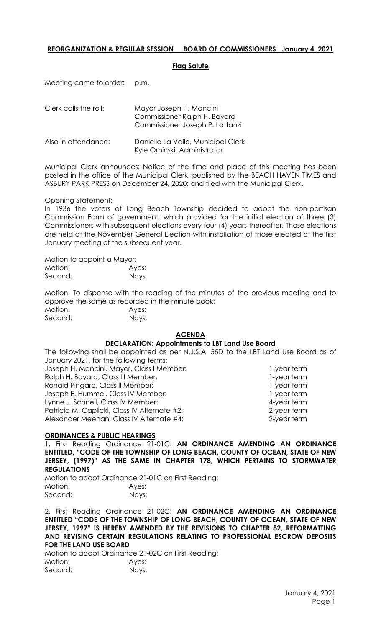# **REORGANIZATION & REGULAR SESSION BOARD OF COMMISSIONERS January 4, 2021**

### **Flag Salute**

Meeting came to order: p.m.

| Clerk calls the roll: | Mayor Joseph H. Mancini<br>Commissioner Ralph H. Bayard<br>Commissioner Joseph P. Lattanzi |
|-----------------------|--------------------------------------------------------------------------------------------|
| Also in attendance:   | Danielle La Valle, Municipal Clerk<br>Kyle Ominski, Administrator                          |

Municipal Clerk announces: Notice of the time and place of this meeting has been posted in the office of the Municipal Clerk, published by the BEACH HAVEN TIMES and ASBURY PARK PRESS on December 24, 2020; and filed with the Municipal Clerk.

Opening Statement:

In 1936 the voters of Long Beach Township decided to adopt the non-partisan Commission Form of government, which provided for the initial election of three (3) Commissioners with subsequent elections every four (4) years thereafter. Those elections are held at the November General Election with installation of those elected at the first January meeting of the subsequent year.

Motion to appoint a Mayor: Motion: Ayes:

Second: Nays:

Motion: To dispense with the reading of the minutes of the previous meeting and to approve the same as recorded in the minute book: Motion: Ayes:

Second: Nays:

## **AGENDA**

### **DECLARATION: Appointments to LBT Land Use Board**

The following shall be appointed as per N.J.S.A. 55D to the LBT Land Use Board as of January 2021, for the following terms: Joseph H. Mancini, Mayor, Class I Member: 1-year term Ralph H. Bayard, Class III Member: 1-year term Ronald Pingaro, Class II Member: 1-year term Joseph E. Hummel, Class IV Member: 1-year term Lynne J. Schnell, Class IV Member: 4-year term Patricia M. Caplicki, Class IV Alternate #2: 2-year term Alexander Meehan, Class IV Alternate #4: 2-year term

### **ORDINANCES & PUBLIC HEARINGS**

1. First Reading Ordinance 21-01C: **AN ORDINANCE AMENDING AN ORDINANCE ENTITLED, "CODE OF THE TOWNSHIP OF LONG BEACH, COUNTY OF OCEAN, STATE OF NEW JERSEY, (1997)" AS THE SAME IN CHAPTER 178, WHICH PERTAINS TO STORMWATER REGULATIONS**

Motion to adopt Ordinance 21-01C on First Reading: Motion: Ayes: Second: Nays:

2. First Reading Ordinance 21-02C: **AN ORDINANCE AMENDING AN ORDINANCE ENTITLED "CODE OF THE TOWNSHIP OF LONG BEACH, COUNTY OF OCEAN, STATE OF NEW JERSEY, 1997" IS HEREBY AMENDED BY THE REVISIONS TO CHAPTER 82, REFORMATTING AND REVISING CERTAIN REGULATIONS RELATING TO PROFESSIONAL ESCROW DEPOSITS FOR THE LAND USE BOARD**

Motion to adopt Ordinance 21-02C on First Reading: Motion: Ayes: Second: Nays: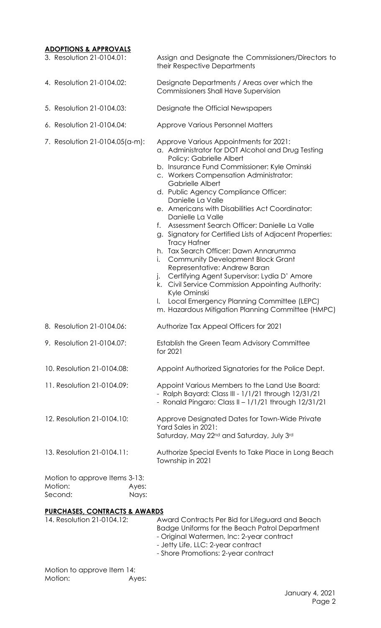# **ADOPTIONS & APPROVALS**

| 3. Resolution 21-0104.01:<br>4. Resolution 21-0104.02: |                | Assign and Designate the Commissioners/Directors to<br>their Respective Departments<br>Designate Departments / Areas over which the                                                                                                                                                                                                                                                                                                                                                                                                                                                                                                                                                                                                                                                                                                                                                          |
|--------------------------------------------------------|----------------|----------------------------------------------------------------------------------------------------------------------------------------------------------------------------------------------------------------------------------------------------------------------------------------------------------------------------------------------------------------------------------------------------------------------------------------------------------------------------------------------------------------------------------------------------------------------------------------------------------------------------------------------------------------------------------------------------------------------------------------------------------------------------------------------------------------------------------------------------------------------------------------------|
|                                                        |                | <b>Commissioners Shall Have Supervision</b>                                                                                                                                                                                                                                                                                                                                                                                                                                                                                                                                                                                                                                                                                                                                                                                                                                                  |
| 5. Resolution 21-0104.03:                              |                | Designate the Official Newspapers                                                                                                                                                                                                                                                                                                                                                                                                                                                                                                                                                                                                                                                                                                                                                                                                                                                            |
| 6. Resolution 21-0104.04:                              |                | <b>Approve Various Personnel Matters</b>                                                                                                                                                                                                                                                                                                                                                                                                                                                                                                                                                                                                                                                                                                                                                                                                                                                     |
| 7. Resolution 21-0104.05(a-m):                         |                | Approve Various Appointments for 2021:<br>a. Administrator for DOT Alcohol and Drug Testing<br>Policy: Gabrielle Albert<br>b. Insurance Fund Commissioner: Kyle Ominski<br>c. Workers Compensation Administrator:<br><b>Gabrielle Albert</b><br>d. Public Agency Compliance Officer:<br>Danielle La Valle<br>e. Americans with Disabilities Act Coordinator:<br>Danielle La Valle<br>Assessment Search Officer: Danielle La Valle<br>f.<br>g. Signatory for Certified Lists of Adjacent Properties:<br><b>Tracy Hafner</b><br>h. Tax Search Officer: Dawn Annarumma<br><b>Community Development Block Grant</b><br>İ.<br>Representative: Andrew Baran<br>Certifying Agent Supervisor: Lydia D' Amore<br>$\cdot$<br>k. Civil Service Commission Appointing Authority:<br>Kyle Ominski<br>Local Emergency Planning Committee (LEPC)<br>Ι.<br>m. Hazardous Mitigation Planning Committee (HMPC) |
| 8. Resolution 21-0104.06:                              |                | Authorize Tax Appeal Officers for 2021                                                                                                                                                                                                                                                                                                                                                                                                                                                                                                                                                                                                                                                                                                                                                                                                                                                       |
| 9. Resolution 21-0104.07:                              |                | Establish the Green Team Advisory Committee<br>for 2021                                                                                                                                                                                                                                                                                                                                                                                                                                                                                                                                                                                                                                                                                                                                                                                                                                      |
| 10. Resolution 21-0104.08:                             |                | Appoint Authorized Signatories for the Police Dept.                                                                                                                                                                                                                                                                                                                                                                                                                                                                                                                                                                                                                                                                                                                                                                                                                                          |
| 11. Resolution 21-0104.09:                             |                | Appoint Various Members to the Land Use Board:<br>- Ralph Bayard: Class III - 1/1/21 through 12/31/21<br>- Ronald Pingaro: Class II - 1/1/21 through 12/31/21                                                                                                                                                                                                                                                                                                                                                                                                                                                                                                                                                                                                                                                                                                                                |
| 12. Resolution 21-0104.10:                             |                | Approve Designated Dates for Town-Wide Private<br>Yard Sales in 2021:<br>Saturday, May 22 <sup>nd</sup> and Saturday, July 3rd                                                                                                                                                                                                                                                                                                                                                                                                                                                                                                                                                                                                                                                                                                                                                               |
| 13. Resolution 21-0104.11:                             |                | Authorize Special Events to Take Place in Long Beach<br>Township in 2021                                                                                                                                                                                                                                                                                                                                                                                                                                                                                                                                                                                                                                                                                                                                                                                                                     |
| Motion to approve Items 3-13:<br>Motion:<br>Second:    | Ayes:<br>Nays: |                                                                                                                                                                                                                                                                                                                                                                                                                                                                                                                                                                                                                                                                                                                                                                                                                                                                                              |

# **PURCHASES, CONTRACTS & AWARDS**

| 14. Resolution 21-0104.12: | Award Contracts Per Bid for Lifeguard and Beach<br>Badge Uniforms for the Beach Patrol Department |
|----------------------------|---------------------------------------------------------------------------------------------------|
|                            | - Original Watermen, Inc: 2-year contract<br>- Jetty Life, LLC: 2-year contract                   |
|                            | - Shore Promotions: 2-year contract                                                               |
|                            |                                                                                                   |

Motion to approve Item 14: Motion: Ayes: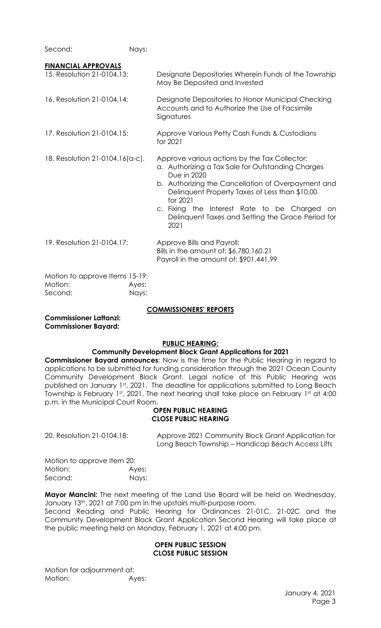Second: Nays:

| <b>FINANCIAL APPROVALS</b>                           |                |                                                                                                                                                                                                                                                                                                                                                        |
|------------------------------------------------------|----------------|--------------------------------------------------------------------------------------------------------------------------------------------------------------------------------------------------------------------------------------------------------------------------------------------------------------------------------------------------------|
| 15. Resolution 21-0104.13:                           |                | Designate Depositories Wherein Funds of the Township<br>May Be Deposited and Invested                                                                                                                                                                                                                                                                  |
| 16. Resolution 21-0104.14:                           |                | Designate Depositories to Honor Municipal Checking<br>Accounts and to Authorize the Use of Facsimile<br>Signatures                                                                                                                                                                                                                                     |
| 17. Resolution 21-0104.15:                           |                | Approve Various Petty Cash Funds & Custodians<br>for 2021                                                                                                                                                                                                                                                                                              |
| 18. Resolution 21-0104.16(a-c).                      |                | Approve various actions by the Tax Collector:<br>a. Authorizing a Tax Sale for Outstanding Charges<br>Due in 2020<br>b. Authorizing the Cancellation of Overpayment and<br>Delinquent Property Taxes of Less than \$10.00<br>for 2021<br>c. Fixing the Interest Rate to be Charged<br>on.<br>Delinquent Taxes and Setting the Grace Period for<br>2021 |
| 19. Resolution 21-0104.17:                           |                | Approve Bills and Payroll:<br>Bills in the amount of: \$6,780,160.21<br>Payroll in the amount of: \$901,441.99                                                                                                                                                                                                                                         |
| Motion to approve Items 15-19:<br>Motion:<br>Second: | Ayes:<br>Nays: |                                                                                                                                                                                                                                                                                                                                                        |

### **COMMISSIONERS' REPORTS**

**Commissioner Lattanzi: Commissioner Bayard:**

### **PUBLIC HEARING:**

### **Community Development Block Grant Applications for 2021**

**Commissioner Bayard announces**: Now is the time for the Public Hearing in regard to applications to be submitted for funding consideration through the 2021 Ocean County Community Development Block Grant. Legal notice of this Public Hearing was published on January 1st, 2021. The deadline for applications submitted to Long Beach Township is February 1st, 2021. The next hearing shall take place on February 1st at 4:00 p.m. in the Municipal Court Room.

#### **OPEN PUBLIC HEARING CLOSE PUBLIC HEARING**

20. Resolution 21-0104.18: Approve 2021 Community Block Grant Application for Long Beach Township – Handicap Beach Access Lifts

Motion to approve Item 20: Motion: Ayes: Second: Nays:

**Mayor Mancini:** The next meeting of the Land Use Board will be held on Wednesday, January 13<sup>th</sup>, 2021 at 7:00 pm in the upstairs multi-purpose room.

Second Reading and Public Hearing for Ordinances 21-01C, 21-02C and the Community Development Block Grant Application Second Hearing will take place at the public meeting held on Monday, February 1, 2021 at 4:00 pm.

### **OPEN PUBLIC SESSION CLOSE PUBLIC SESSION**

Motion for adjournment at: Motion: Ayes: